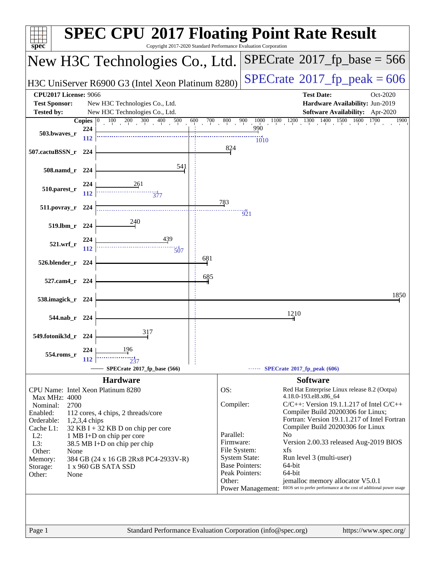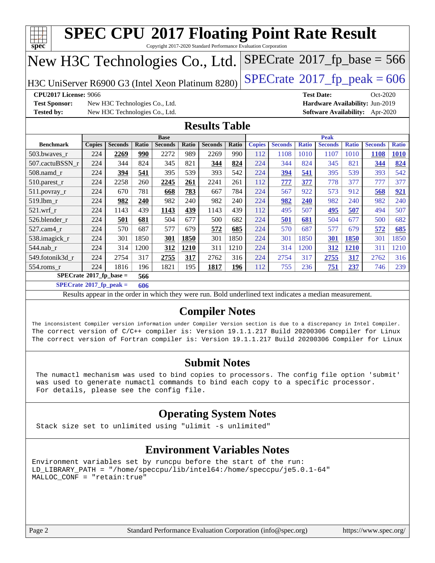| Copyright 2017-2020 Standard Performance Evaluation Corporation<br>$SPECrate$ <sup>®</sup> 2017_fp_base = 566<br>New H3C Technologies Co., Ltd.<br>H3C UniServer R6900 G3 (Intel Xeon Platinum 8280)<br><b>CPU2017 License: 9066</b><br><b>Test Date:</b><br>Oct-2020<br><b>Test Sponsor:</b><br>Hardware Availability: Jun-2019<br>New H3C Technologies Co., Ltd.<br><b>Tested by:</b><br>New H3C Technologies Co., Ltd.<br><b>Software Availability:</b> Apr-2020<br><b>Results Table</b><br><b>Peak</b><br><b>Base</b><br><b>Seconds</b><br><b>Seconds</b><br><b>Seconds</b><br><b>Ratio</b><br><b>Seconds</b><br><b>Benchmark</b><br><b>Copies</b><br>Ratio<br><b>Seconds</b><br>Ratio<br><b>Seconds</b><br>Ratio<br><b>Copies</b><br><b>Ratio</b><br>990<br>990<br>224<br>2272<br>989<br>2269<br>112<br>1010<br>1107<br>1010<br>503.bwaves r<br>2269<br>1108<br>1108<br>824<br>507.cactuBSSN_r<br>224<br>344<br>821<br>344<br>824<br>224<br>824<br>345<br>821<br>345<br>344<br>344<br>393<br>394<br>541<br>395<br>542<br>224<br>541<br>395<br>393<br>$508$ .namd $r$<br>224<br>539<br>394<br>539<br>2258<br>260<br>2241<br>261<br>510.parest_r<br>224<br>2245<br>261<br>112<br>777<br>377<br>778<br>377<br>777<br>781<br>783<br>784<br>567<br>922<br>511.povray_r<br>224<br>670<br>668<br>667<br>224<br>573<br>912<br>568<br>982<br>982<br>982<br>519.lbm r<br>224<br>240<br>240<br>240<br>224<br>982<br>240<br>982<br>982<br>240<br>439<br>1143<br>1143<br>439<br>507<br>$521.wrf_r$<br>224<br>439<br>112<br>495<br>495<br>507<br>494<br><u>1143</u><br>681<br>500<br>682<br>224<br>500<br>526.blender r<br>224<br>501<br>504<br>677<br>501<br>681<br>504<br>677<br>570<br>687<br>577<br>572<br>685<br>577<br>572<br>527.cam4_r<br>224<br>679<br>224<br>570<br>687<br>679<br>1850<br>1850<br>224<br>301<br>301<br>1850<br>301<br>1850<br>1850<br>301<br>538.imagick_r<br>301<br>224<br>301<br>314<br>1200<br>1210<br>224<br><b>1210</b><br>544.nab_r<br>224<br>312<br>1210<br>311<br>314<br>1200<br>312<br>311<br>317<br>549.fotonik3d r<br>2754<br>2762<br>316<br>224<br>2754<br>317<br>224<br>2755<br>317<br>2755<br>317<br>2762<br>224<br>196<br>1821<br>195<br>1817<br>196<br>236<br>$554$ .roms_r<br>1816<br>112<br>755<br>751<br>237<br>746<br>$SPECrate$ <sup>®</sup> 2017_fp_base =<br>566<br>$SPECrate^{\circ}2017$ _fp_peak =<br>606<br>Results appear in the order in which they were run. Bold underlined text indicates a median measurement.<br><b>Compiler Notes</b><br>The inconsistent Compiler version information under Compiler Version section is due to a discrepancy in Intel Compiler.<br>The correct version of C/C++ compiler is: Version 19.1.1.217 Build 20200306 Compiler for Linux | spec                           |  |  |  |  |  | <b>SPEC CPU®2017 Floating Point Rate Result</b> |  |  |  |  |  |  |              |
|------------------------------------------------------------------------------------------------------------------------------------------------------------------------------------------------------------------------------------------------------------------------------------------------------------------------------------------------------------------------------------------------------------------------------------------------------------------------------------------------------------------------------------------------------------------------------------------------------------------------------------------------------------------------------------------------------------------------------------------------------------------------------------------------------------------------------------------------------------------------------------------------------------------------------------------------------------------------------------------------------------------------------------------------------------------------------------------------------------------------------------------------------------------------------------------------------------------------------------------------------------------------------------------------------------------------------------------------------------------------------------------------------------------------------------------------------------------------------------------------------------------------------------------------------------------------------------------------------------------------------------------------------------------------------------------------------------------------------------------------------------------------------------------------------------------------------------------------------------------------------------------------------------------------------------------------------------------------------------------------------------------------------------------------------------------------------------------------------------------------------------------------------------------------------------------------------------------------------------------------------------------------------------------------------------------------------------------------------------------------------------------------------------------------------------------------------------------------------------------------------------------------------------------------------------------------------------------------------------------------------------------------------------------------------------------------------------------------|--------------------------------|--|--|--|--|--|-------------------------------------------------|--|--|--|--|--|--|--------------|
|                                                                                                                                                                                                                                                                                                                                                                                                                                                                                                                                                                                                                                                                                                                                                                                                                                                                                                                                                                                                                                                                                                                                                                                                                                                                                                                                                                                                                                                                                                                                                                                                                                                                                                                                                                                                                                                                                                                                                                                                                                                                                                                                                                                                                                                                                                                                                                                                                                                                                                                                                                                                                                                                                                                        |                                |  |  |  |  |  |                                                 |  |  |  |  |  |  |              |
|                                                                                                                                                                                                                                                                                                                                                                                                                                                                                                                                                                                                                                                                                                                                                                                                                                                                                                                                                                                                                                                                                                                                                                                                                                                                                                                                                                                                                                                                                                                                                                                                                                                                                                                                                                                                                                                                                                                                                                                                                                                                                                                                                                                                                                                                                                                                                                                                                                                                                                                                                                                                                                                                                                                        | $SPECTate@2017_fp\_peak = 606$ |  |  |  |  |  |                                                 |  |  |  |  |  |  |              |
|                                                                                                                                                                                                                                                                                                                                                                                                                                                                                                                                                                                                                                                                                                                                                                                                                                                                                                                                                                                                                                                                                                                                                                                                                                                                                                                                                                                                                                                                                                                                                                                                                                                                                                                                                                                                                                                                                                                                                                                                                                                                                                                                                                                                                                                                                                                                                                                                                                                                                                                                                                                                                                                                                                                        |                                |  |  |  |  |  |                                                 |  |  |  |  |  |  |              |
|                                                                                                                                                                                                                                                                                                                                                                                                                                                                                                                                                                                                                                                                                                                                                                                                                                                                                                                                                                                                                                                                                                                                                                                                                                                                                                                                                                                                                                                                                                                                                                                                                                                                                                                                                                                                                                                                                                                                                                                                                                                                                                                                                                                                                                                                                                                                                                                                                                                                                                                                                                                                                                                                                                                        |                                |  |  |  |  |  |                                                 |  |  |  |  |  |  |              |
|                                                                                                                                                                                                                                                                                                                                                                                                                                                                                                                                                                                                                                                                                                                                                                                                                                                                                                                                                                                                                                                                                                                                                                                                                                                                                                                                                                                                                                                                                                                                                                                                                                                                                                                                                                                                                                                                                                                                                                                                                                                                                                                                                                                                                                                                                                                                                                                                                                                                                                                                                                                                                                                                                                                        |                                |  |  |  |  |  |                                                 |  |  |  |  |  |  |              |
|                                                                                                                                                                                                                                                                                                                                                                                                                                                                                                                                                                                                                                                                                                                                                                                                                                                                                                                                                                                                                                                                                                                                                                                                                                                                                                                                                                                                                                                                                                                                                                                                                                                                                                                                                                                                                                                                                                                                                                                                                                                                                                                                                                                                                                                                                                                                                                                                                                                                                                                                                                                                                                                                                                                        |                                |  |  |  |  |  |                                                 |  |  |  |  |  |  |              |
|                                                                                                                                                                                                                                                                                                                                                                                                                                                                                                                                                                                                                                                                                                                                                                                                                                                                                                                                                                                                                                                                                                                                                                                                                                                                                                                                                                                                                                                                                                                                                                                                                                                                                                                                                                                                                                                                                                                                                                                                                                                                                                                                                                                                                                                                                                                                                                                                                                                                                                                                                                                                                                                                                                                        |                                |  |  |  |  |  |                                                 |  |  |  |  |  |  | <b>Ratio</b> |
|                                                                                                                                                                                                                                                                                                                                                                                                                                                                                                                                                                                                                                                                                                                                                                                                                                                                                                                                                                                                                                                                                                                                                                                                                                                                                                                                                                                                                                                                                                                                                                                                                                                                                                                                                                                                                                                                                                                                                                                                                                                                                                                                                                                                                                                                                                                                                                                                                                                                                                                                                                                                                                                                                                                        |                                |  |  |  |  |  |                                                 |  |  |  |  |  |  | 1010         |
|                                                                                                                                                                                                                                                                                                                                                                                                                                                                                                                                                                                                                                                                                                                                                                                                                                                                                                                                                                                                                                                                                                                                                                                                                                                                                                                                                                                                                                                                                                                                                                                                                                                                                                                                                                                                                                                                                                                                                                                                                                                                                                                                                                                                                                                                                                                                                                                                                                                                                                                                                                                                                                                                                                                        |                                |  |  |  |  |  |                                                 |  |  |  |  |  |  | 824          |
|                                                                                                                                                                                                                                                                                                                                                                                                                                                                                                                                                                                                                                                                                                                                                                                                                                                                                                                                                                                                                                                                                                                                                                                                                                                                                                                                                                                                                                                                                                                                                                                                                                                                                                                                                                                                                                                                                                                                                                                                                                                                                                                                                                                                                                                                                                                                                                                                                                                                                                                                                                                                                                                                                                                        |                                |  |  |  |  |  |                                                 |  |  |  |  |  |  | 542          |
|                                                                                                                                                                                                                                                                                                                                                                                                                                                                                                                                                                                                                                                                                                                                                                                                                                                                                                                                                                                                                                                                                                                                                                                                                                                                                                                                                                                                                                                                                                                                                                                                                                                                                                                                                                                                                                                                                                                                                                                                                                                                                                                                                                                                                                                                                                                                                                                                                                                                                                                                                                                                                                                                                                                        |                                |  |  |  |  |  |                                                 |  |  |  |  |  |  | 377          |
|                                                                                                                                                                                                                                                                                                                                                                                                                                                                                                                                                                                                                                                                                                                                                                                                                                                                                                                                                                                                                                                                                                                                                                                                                                                                                                                                                                                                                                                                                                                                                                                                                                                                                                                                                                                                                                                                                                                                                                                                                                                                                                                                                                                                                                                                                                                                                                                                                                                                                                                                                                                                                                                                                                                        |                                |  |  |  |  |  |                                                 |  |  |  |  |  |  | 921          |
|                                                                                                                                                                                                                                                                                                                                                                                                                                                                                                                                                                                                                                                                                                                                                                                                                                                                                                                                                                                                                                                                                                                                                                                                                                                                                                                                                                                                                                                                                                                                                                                                                                                                                                                                                                                                                                                                                                                                                                                                                                                                                                                                                                                                                                                                                                                                                                                                                                                                                                                                                                                                                                                                                                                        |                                |  |  |  |  |  |                                                 |  |  |  |  |  |  | 240          |
|                                                                                                                                                                                                                                                                                                                                                                                                                                                                                                                                                                                                                                                                                                                                                                                                                                                                                                                                                                                                                                                                                                                                                                                                                                                                                                                                                                                                                                                                                                                                                                                                                                                                                                                                                                                                                                                                                                                                                                                                                                                                                                                                                                                                                                                                                                                                                                                                                                                                                                                                                                                                                                                                                                                        |                                |  |  |  |  |  |                                                 |  |  |  |  |  |  | 507          |
|                                                                                                                                                                                                                                                                                                                                                                                                                                                                                                                                                                                                                                                                                                                                                                                                                                                                                                                                                                                                                                                                                                                                                                                                                                                                                                                                                                                                                                                                                                                                                                                                                                                                                                                                                                                                                                                                                                                                                                                                                                                                                                                                                                                                                                                                                                                                                                                                                                                                                                                                                                                                                                                                                                                        |                                |  |  |  |  |  |                                                 |  |  |  |  |  |  | 682          |
|                                                                                                                                                                                                                                                                                                                                                                                                                                                                                                                                                                                                                                                                                                                                                                                                                                                                                                                                                                                                                                                                                                                                                                                                                                                                                                                                                                                                                                                                                                                                                                                                                                                                                                                                                                                                                                                                                                                                                                                                                                                                                                                                                                                                                                                                                                                                                                                                                                                                                                                                                                                                                                                                                                                        |                                |  |  |  |  |  |                                                 |  |  |  |  |  |  | 685          |
|                                                                                                                                                                                                                                                                                                                                                                                                                                                                                                                                                                                                                                                                                                                                                                                                                                                                                                                                                                                                                                                                                                                                                                                                                                                                                                                                                                                                                                                                                                                                                                                                                                                                                                                                                                                                                                                                                                                                                                                                                                                                                                                                                                                                                                                                                                                                                                                                                                                                                                                                                                                                                                                                                                                        |                                |  |  |  |  |  |                                                 |  |  |  |  |  |  | 1850         |
|                                                                                                                                                                                                                                                                                                                                                                                                                                                                                                                                                                                                                                                                                                                                                                                                                                                                                                                                                                                                                                                                                                                                                                                                                                                                                                                                                                                                                                                                                                                                                                                                                                                                                                                                                                                                                                                                                                                                                                                                                                                                                                                                                                                                                                                                                                                                                                                                                                                                                                                                                                                                                                                                                                                        |                                |  |  |  |  |  |                                                 |  |  |  |  |  |  | 1210         |
|                                                                                                                                                                                                                                                                                                                                                                                                                                                                                                                                                                                                                                                                                                                                                                                                                                                                                                                                                                                                                                                                                                                                                                                                                                                                                                                                                                                                                                                                                                                                                                                                                                                                                                                                                                                                                                                                                                                                                                                                                                                                                                                                                                                                                                                                                                                                                                                                                                                                                                                                                                                                                                                                                                                        |                                |  |  |  |  |  |                                                 |  |  |  |  |  |  | 316          |
|                                                                                                                                                                                                                                                                                                                                                                                                                                                                                                                                                                                                                                                                                                                                                                                                                                                                                                                                                                                                                                                                                                                                                                                                                                                                                                                                                                                                                                                                                                                                                                                                                                                                                                                                                                                                                                                                                                                                                                                                                                                                                                                                                                                                                                                                                                                                                                                                                                                                                                                                                                                                                                                                                                                        |                                |  |  |  |  |  |                                                 |  |  |  |  |  |  | 239          |
|                                                                                                                                                                                                                                                                                                                                                                                                                                                                                                                                                                                                                                                                                                                                                                                                                                                                                                                                                                                                                                                                                                                                                                                                                                                                                                                                                                                                                                                                                                                                                                                                                                                                                                                                                                                                                                                                                                                                                                                                                                                                                                                                                                                                                                                                                                                                                                                                                                                                                                                                                                                                                                                                                                                        |                                |  |  |  |  |  |                                                 |  |  |  |  |  |  |              |
|                                                                                                                                                                                                                                                                                                                                                                                                                                                                                                                                                                                                                                                                                                                                                                                                                                                                                                                                                                                                                                                                                                                                                                                                                                                                                                                                                                                                                                                                                                                                                                                                                                                                                                                                                                                                                                                                                                                                                                                                                                                                                                                                                                                                                                                                                                                                                                                                                                                                                                                                                                                                                                                                                                                        |                                |  |  |  |  |  |                                                 |  |  |  |  |  |  |              |
|                                                                                                                                                                                                                                                                                                                                                                                                                                                                                                                                                                                                                                                                                                                                                                                                                                                                                                                                                                                                                                                                                                                                                                                                                                                                                                                                                                                                                                                                                                                                                                                                                                                                                                                                                                                                                                                                                                                                                                                                                                                                                                                                                                                                                                                                                                                                                                                                                                                                                                                                                                                                                                                                                                                        |                                |  |  |  |  |  |                                                 |  |  |  |  |  |  |              |
|                                                                                                                                                                                                                                                                                                                                                                                                                                                                                                                                                                                                                                                                                                                                                                                                                                                                                                                                                                                                                                                                                                                                                                                                                                                                                                                                                                                                                                                                                                                                                                                                                                                                                                                                                                                                                                                                                                                                                                                                                                                                                                                                                                                                                                                                                                                                                                                                                                                                                                                                                                                                                                                                                                                        |                                |  |  |  |  |  |                                                 |  |  |  |  |  |  |              |
| The correct version of Fortran compiler is: Version 19.1.1.217 Build 20200306 Compiler for Linux                                                                                                                                                                                                                                                                                                                                                                                                                                                                                                                                                                                                                                                                                                                                                                                                                                                                                                                                                                                                                                                                                                                                                                                                                                                                                                                                                                                                                                                                                                                                                                                                                                                                                                                                                                                                                                                                                                                                                                                                                                                                                                                                                                                                                                                                                                                                                                                                                                                                                                                                                                                                                       |                                |  |  |  |  |  |                                                 |  |  |  |  |  |  |              |

### **[Submit Notes](http://www.spec.org/auto/cpu2017/Docs/result-fields.html#SubmitNotes)**

 The numactl mechanism was used to bind copies to processors. The config file option 'submit' was used to generate numactl commands to bind each copy to a specific processor. For details, please see the config file.

## **[Operating System Notes](http://www.spec.org/auto/cpu2017/Docs/result-fields.html#OperatingSystemNotes)**

Stack size set to unlimited using "ulimit -s unlimited"

## **[Environment Variables Notes](http://www.spec.org/auto/cpu2017/Docs/result-fields.html#EnvironmentVariablesNotes)**

Environment variables set by runcpu before the start of the run: LD\_LIBRARY\_PATH = "/home/speccpu/lib/intel64:/home/speccpu/je5.0.1-64" MALLOC\_CONF = "retain:true"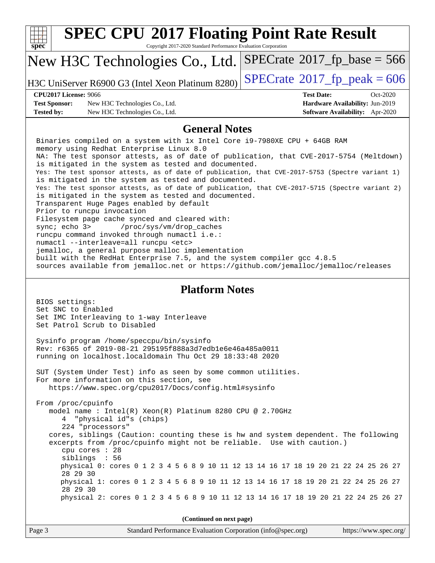| spec <sup>®</sup>                    | <b>SPEC CPU®2017 Floating Point Rate Result</b><br>Copyright 2017-2020 Standard Performance Evaluation Corporation                                                                                                                                                                                                                                                                                                                                                                                                                                                                                                                                                                                  |                                            |                                 |
|--------------------------------------|-----------------------------------------------------------------------------------------------------------------------------------------------------------------------------------------------------------------------------------------------------------------------------------------------------------------------------------------------------------------------------------------------------------------------------------------------------------------------------------------------------------------------------------------------------------------------------------------------------------------------------------------------------------------------------------------------------|--------------------------------------------|---------------------------------|
|                                      | New H3C Technologies Co., Ltd.                                                                                                                                                                                                                                                                                                                                                                                                                                                                                                                                                                                                                                                                      | $SPECrate^{\circ}2017$ [p base = 566       |                                 |
|                                      | H3C UniServer R6900 G3 (Intel Xeon Platinum 8280)                                                                                                                                                                                                                                                                                                                                                                                                                                                                                                                                                                                                                                                   | $SPECTate$ <sup>®</sup> 2017_fp_peak = 606 |                                 |
| <b>CPU2017 License: 9066</b>         |                                                                                                                                                                                                                                                                                                                                                                                                                                                                                                                                                                                                                                                                                                     | <b>Test Date:</b>                          | Oct-2020                        |
| <b>Test Sponsor:</b>                 | New H3C Technologies Co., Ltd.                                                                                                                                                                                                                                                                                                                                                                                                                                                                                                                                                                                                                                                                      |                                            | Hardware Availability: Jun-2019 |
| <b>Tested by:</b>                    | New H3C Technologies Co., Ltd.                                                                                                                                                                                                                                                                                                                                                                                                                                                                                                                                                                                                                                                                      |                                            | Software Availability: Apr-2020 |
|                                      | <b>General Notes</b>                                                                                                                                                                                                                                                                                                                                                                                                                                                                                                                                                                                                                                                                                |                                            |                                 |
|                                      | Binaries compiled on a system with 1x Intel Core i9-7980XE CPU + 64GB RAM<br>memory using Redhat Enterprise Linux 8.0<br>NA: The test sponsor attests, as of date of publication, that CVE-2017-5754 (Meltdown)<br>is mitigated in the system as tested and documented.<br>Yes: The test sponsor attests, as of date of publication, that CVE-2017-5753 (Spectre variant 1)                                                                                                                                                                                                                                                                                                                         |                                            |                                 |
| sync; echo 3>                        | is mitigated in the system as tested and documented.<br>Yes: The test sponsor attests, as of date of publication, that CVE-2017-5715 (Spectre variant 2)<br>is mitigated in the system as tested and documented.<br>Transparent Huge Pages enabled by default<br>Prior to runcpu invocation<br>Filesystem page cache synced and cleared with:<br>/proc/sys/vm/drop_caches<br>runcpu command invoked through numactl i.e.:<br>numactl --interleave=all runcpu <etc><br/>jemalloc, a general purpose malloc implementation<br/>built with the RedHat Enterprise 7.5, and the system compiler gcc 4.8.5<br/>sources available from jemalloc.net or https://github.com/jemalloc/jemalloc/releases</etc> |                                            |                                 |
| BIOS settings:<br>Set SNC to Enabled | <b>Platform Notes</b><br>Set IMC Interleaving to 1-way Interleave<br>Set Patrol Scrub to Disabled                                                                                                                                                                                                                                                                                                                                                                                                                                                                                                                                                                                                   |                                            |                                 |
|                                      | Sysinfo program /home/speccpu/bin/sysinfo<br>Rev: r6365 of 2019-08-21 295195f888a3d7edble6e46a485a0011<br>running on localhost.localdomain Thu Oct 29 18:33:48 2020                                                                                                                                                                                                                                                                                                                                                                                                                                                                                                                                 |                                            |                                 |
|                                      | SUT (System Under Test) info as seen by some common utilities.<br>For more information on this section, see<br>https://www.spec.org/cpu2017/Docs/config.html#sysinfo                                                                                                                                                                                                                                                                                                                                                                                                                                                                                                                                |                                            |                                 |
| From /proc/cpuinfo                   | model name: Intel(R) Xeon(R) Platinum 8280 CPU @ 2.70GHz<br>4 "physical id"s (chips)<br>224 "processors"<br>cores, siblings (Caution: counting these is hw and system dependent. The following<br>excerpts from /proc/cpuinfo might not be reliable. Use with caution.)<br>cpu cores : 28<br>siblings : 56                                                                                                                                                                                                                                                                                                                                                                                          |                                            |                                 |
| 28 29 30                             | physical 0: cores 0 1 2 3 4 5 6 8 9 10 11 12 13 14 16 17 18 19 20 21 22 24 25 26 27                                                                                                                                                                                                                                                                                                                                                                                                                                                                                                                                                                                                                 |                                            |                                 |
| 28 29 30                             | physical 1: cores 0 1 2 3 4 5 6 8 9 10 11 12 13 14 16 17 18 19 20 21 22 24 25 26 27<br>physical 2: cores 0 1 2 3 4 5 6 8 9 10 11 12 13 14 16 17 18 19 20 21 22 24 25 26 27                                                                                                                                                                                                                                                                                                                                                                                                                                                                                                                          |                                            |                                 |
|                                      |                                                                                                                                                                                                                                                                                                                                                                                                                                                                                                                                                                                                                                                                                                     |                                            |                                 |
|                                      | (Continued on next page)                                                                                                                                                                                                                                                                                                                                                                                                                                                                                                                                                                                                                                                                            |                                            |                                 |
| Page 3                               | Standard Performance Evaluation Corporation (info@spec.org)                                                                                                                                                                                                                                                                                                                                                                                                                                                                                                                                                                                                                                         |                                            | https://www.spec.org/           |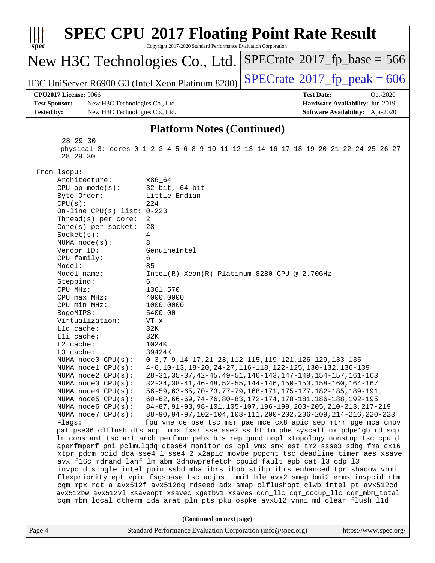| spec <sup>®</sup>                                                                |                                                                                                                                                                                                                                                                | <b>SPEC CPU®2017 Floating Point Rate Result</b><br>Copyright 2017-2020 Standard Performance Evaluation Corporation                                                         |                                                                                                                                  |                                 |  |  |  |
|----------------------------------------------------------------------------------|----------------------------------------------------------------------------------------------------------------------------------------------------------------------------------------------------------------------------------------------------------------|----------------------------------------------------------------------------------------------------------------------------------------------------------------------------|----------------------------------------------------------------------------------------------------------------------------------|---------------------------------|--|--|--|
|                                                                                  |                                                                                                                                                                                                                                                                | New H3C Technologies Co., Ltd.                                                                                                                                             | $SPECrate^{\circ}2017$ _fp_base = 566                                                                                            |                                 |  |  |  |
|                                                                                  |                                                                                                                                                                                                                                                                | H3C UniServer R6900 G3 (Intel Xeon Platinum 8280)                                                                                                                          | $SPECTate@2017fr peak = 606$                                                                                                     |                                 |  |  |  |
|                                                                                  | <b>CPU2017 License: 9066</b>                                                                                                                                                                                                                                   |                                                                                                                                                                            | <b>Test Date:</b>                                                                                                                | Oct-2020                        |  |  |  |
| <b>Test Sponsor:</b>                                                             | New H3C Technologies Co., Ltd.                                                                                                                                                                                                                                 |                                                                                                                                                                            |                                                                                                                                  | Hardware Availability: Jun-2019 |  |  |  |
| <b>Tested by:</b>                                                                | New H3C Technologies Co., Ltd.                                                                                                                                                                                                                                 |                                                                                                                                                                            |                                                                                                                                  | Software Availability: Apr-2020 |  |  |  |
|                                                                                  |                                                                                                                                                                                                                                                                | <b>Platform Notes (Continued)</b>                                                                                                                                          |                                                                                                                                  |                                 |  |  |  |
|                                                                                  | 28 29 30<br>28 29 30                                                                                                                                                                                                                                           | physical 3: cores 0 1 2 3 4 5 6 8 9 10 11 12 13 14 16 17 18 19 20 21 22 24 25 26 27                                                                                        |                                                                                                                                  |                                 |  |  |  |
|                                                                                  | From lscpu:                                                                                                                                                                                                                                                    |                                                                                                                                                                            |                                                                                                                                  |                                 |  |  |  |
|                                                                                  | Architecture:                                                                                                                                                                                                                                                  | x86 64                                                                                                                                                                     |                                                                                                                                  |                                 |  |  |  |
|                                                                                  | $CPU$ op-mode( $s$ ):                                                                                                                                                                                                                                          | $32$ -bit, $64$ -bit<br>Little Endian                                                                                                                                      |                                                                                                                                  |                                 |  |  |  |
|                                                                                  | Byte Order:<br>CPU(s):                                                                                                                                                                                                                                         | 224                                                                                                                                                                        |                                                                                                                                  |                                 |  |  |  |
|                                                                                  | On-line CPU(s) list: $0-223$                                                                                                                                                                                                                                   |                                                                                                                                                                            |                                                                                                                                  |                                 |  |  |  |
|                                                                                  | Thread(s) per core:                                                                                                                                                                                                                                            | 2                                                                                                                                                                          |                                                                                                                                  |                                 |  |  |  |
|                                                                                  | $Core(s)$ per socket:                                                                                                                                                                                                                                          | 28                                                                                                                                                                         |                                                                                                                                  |                                 |  |  |  |
|                                                                                  | Socket(s):<br>NUMA $node(s):$                                                                                                                                                                                                                                  | 4<br>8                                                                                                                                                                     |                                                                                                                                  |                                 |  |  |  |
|                                                                                  | Vendor ID:                                                                                                                                                                                                                                                     | GenuineIntel                                                                                                                                                               |                                                                                                                                  |                                 |  |  |  |
|                                                                                  | CPU family:                                                                                                                                                                                                                                                    | 6                                                                                                                                                                          |                                                                                                                                  |                                 |  |  |  |
|                                                                                  | Model:                                                                                                                                                                                                                                                         | 85                                                                                                                                                                         |                                                                                                                                  |                                 |  |  |  |
|                                                                                  | Model name:                                                                                                                                                                                                                                                    | Intel(R) Xeon(R) Platinum 8280 CPU @ 2.70GHz                                                                                                                               |                                                                                                                                  |                                 |  |  |  |
|                                                                                  | Stepping:<br>CPU MHz:                                                                                                                                                                                                                                          | 6<br>1361.570                                                                                                                                                              |                                                                                                                                  |                                 |  |  |  |
|                                                                                  | $CPU$ max $MHz:$                                                                                                                                                                                                                                               | 4000.0000                                                                                                                                                                  |                                                                                                                                  |                                 |  |  |  |
|                                                                                  | CPU min MHz:                                                                                                                                                                                                                                                   | 1000.0000                                                                                                                                                                  |                                                                                                                                  |                                 |  |  |  |
|                                                                                  | BogoMIPS:                                                                                                                                                                                                                                                      | 5400.00                                                                                                                                                                    |                                                                                                                                  |                                 |  |  |  |
|                                                                                  | Virtualization:                                                                                                                                                                                                                                                | $VT - x$                                                                                                                                                                   |                                                                                                                                  |                                 |  |  |  |
|                                                                                  | L1d cache:                                                                                                                                                                                                                                                     | 32K                                                                                                                                                                        |                                                                                                                                  |                                 |  |  |  |
|                                                                                  | Lli cache:<br>L2 cache:                                                                                                                                                                                                                                        | 32K<br>1024K                                                                                                                                                               |                                                                                                                                  |                                 |  |  |  |
|                                                                                  | L3 cache:                                                                                                                                                                                                                                                      | 39424K                                                                                                                                                                     |                                                                                                                                  |                                 |  |  |  |
|                                                                                  | NUMA node0 CPU(s):                                                                                                                                                                                                                                             |                                                                                                                                                                            | 0-3, 7-9, 14-17, 21-23, 112-115, 119-121, 126-129, 133-135                                                                       |                                 |  |  |  |
|                                                                                  | NUMA node1 CPU(s):                                                                                                                                                                                                                                             |                                                                                                                                                                            | 4-6, 10-13, 18-20, 24-27, 116-118, 122-125, 130-132, 136-139                                                                     |                                 |  |  |  |
|                                                                                  | NUMA node2 CPU(s):                                                                                                                                                                                                                                             |                                                                                                                                                                            | 28-31, 35-37, 42-45, 49-51, 140-143, 147-149, 154-157, 161-163                                                                   |                                 |  |  |  |
|                                                                                  | NUMA node3 CPU(s):<br>NUMA $node4$ $CPU(s):$                                                                                                                                                                                                                   |                                                                                                                                                                            | 32-34, 38-41, 46-48, 52-55, 144-146, 150-153, 158-160, 164-167<br>56-59, 63-65, 70-73, 77-79, 168-171, 175-177, 182-185, 189-191 |                                 |  |  |  |
|                                                                                  | NUMA node5 CPU(s):                                                                                                                                                                                                                                             |                                                                                                                                                                            | 60-62, 66-69, 74-76, 80-83, 172-174, 178-181, 186-188, 192-195                                                                   |                                 |  |  |  |
|                                                                                  | NUMA node6 CPU(s):                                                                                                                                                                                                                                             |                                                                                                                                                                            | 84-87, 91-93, 98-101, 105-107, 196-199, 203-205, 210-213, 217-219                                                                |                                 |  |  |  |
|                                                                                  | NUMA node7 CPU(s):                                                                                                                                                                                                                                             |                                                                                                                                                                            | 88-90, 94-97, 102-104, 108-111, 200-202, 206-209, 214-216, 220-223                                                               |                                 |  |  |  |
|                                                                                  | Flags:                                                                                                                                                                                                                                                         | fpu vme de pse tsc msr pae mce cx8 apic sep mtrr pge mca cmov                                                                                                              |                                                                                                                                  |                                 |  |  |  |
|                                                                                  |                                                                                                                                                                                                                                                                | pat pse36 clflush dts acpi mmx fxsr sse sse2 ss ht tm pbe syscall nx pdpelgb rdtscp<br>lm constant_tsc art arch_perfmon pebs bts rep_good nopl xtopology nonstop_tsc cpuid |                                                                                                                                  |                                 |  |  |  |
|                                                                                  |                                                                                                                                                                                                                                                                |                                                                                                                                                                            |                                                                                                                                  |                                 |  |  |  |
|                                                                                  | aperfmperf pni pclmulqdq dtes64 monitor ds_cpl vmx smx est tm2 ssse3 sdbg fma cx16<br>xtpr pdcm pcid dca sse4_1 sse4_2 x2apic movbe popcnt tsc_deadline_timer aes xsave                                                                                        |                                                                                                                                                                            |                                                                                                                                  |                                 |  |  |  |
|                                                                                  | avx f16c rdrand lahf_lm abm 3dnowprefetch cpuid_fault epb cat_13 cdp_13                                                                                                                                                                                        |                                                                                                                                                                            |                                                                                                                                  |                                 |  |  |  |
| invpcid_single intel_ppin ssbd mba ibrs ibpb stibp ibrs_enhanced tpr_shadow vnmi |                                                                                                                                                                                                                                                                |                                                                                                                                                                            |                                                                                                                                  |                                 |  |  |  |
|                                                                                  | flexpriority ept vpid fsgsbase tsc_adjust bmil hle avx2 smep bmi2 erms invpcid rtm<br>cqm mpx rdt_a avx512f avx512dq rdseed adx smap clflushopt clwb intel_pt avx512cd<br>avx512bw avx512vl xsaveopt xsavec xgetbv1 xsaves cqm_llc cqm_occup_llc cqm_mbm_total |                                                                                                                                                                            |                                                                                                                                  |                                 |  |  |  |
|                                                                                  |                                                                                                                                                                                                                                                                | cqm_mbm_local dtherm ida arat pln pts pku ospke avx512_vnni md_clear flush_l1d                                                                                             |                                                                                                                                  |                                 |  |  |  |
| (Continued on next page)                                                         |                                                                                                                                                                                                                                                                |                                                                                                                                                                            |                                                                                                                                  |                                 |  |  |  |
| Page 4                                                                           | Standard Performance Evaluation Corporation (info@spec.org)<br>https://www.spec.org/                                                                                                                                                                           |                                                                                                                                                                            |                                                                                                                                  |                                 |  |  |  |
|                                                                                  |                                                                                                                                                                                                                                                                |                                                                                                                                                                            |                                                                                                                                  |                                 |  |  |  |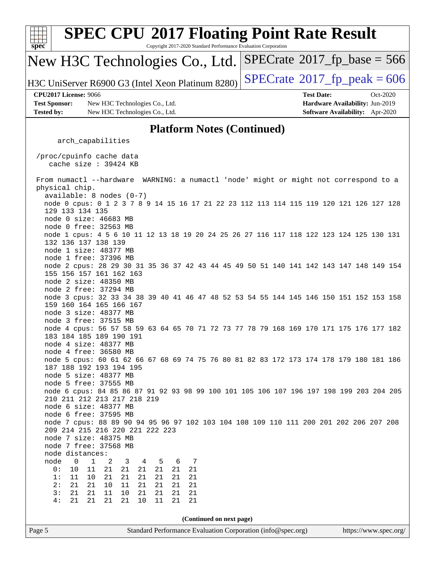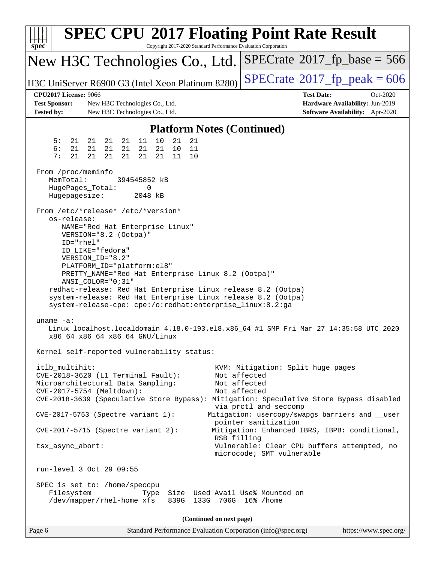| <b>SPEC CPU®2017 Floating Point Rate Result</b><br>Copyright 2017-2020 Standard Performance Evaluation Corporation<br>spec <sup>®</sup>                                                                                                                                                            |                                                                                                                                          |  |  |  |  |  |
|----------------------------------------------------------------------------------------------------------------------------------------------------------------------------------------------------------------------------------------------------------------------------------------------------|------------------------------------------------------------------------------------------------------------------------------------------|--|--|--|--|--|
| New H3C Technologies Co., Ltd.                                                                                                                                                                                                                                                                     | $SPECrate^{\circ}2017$ [p base = 566                                                                                                     |  |  |  |  |  |
| H3C UniServer R6900 G3 (Intel Xeon Platinum 8280)                                                                                                                                                                                                                                                  | $SPECTate@2017fr peak = 606$                                                                                                             |  |  |  |  |  |
| <b>CPU2017 License: 9066</b><br><b>Test Sponsor:</b><br>New H3C Technologies Co., Ltd.<br><b>Tested by:</b><br>New H3C Technologies Co., Ltd.                                                                                                                                                      | <b>Test Date:</b><br>Oct-2020<br>Hardware Availability: Jun-2019<br>Software Availability: Apr-2020                                      |  |  |  |  |  |
| <b>Platform Notes (Continued)</b>                                                                                                                                                                                                                                                                  |                                                                                                                                          |  |  |  |  |  |
| 5:<br>11<br>10<br>21<br>21<br>21<br>21<br>21<br>21                                                                                                                                                                                                                                                 |                                                                                                                                          |  |  |  |  |  |
| 6:<br>21<br>10<br>11<br>21<br>21<br>21<br>21<br>21<br>7:<br>21<br>21<br>21<br>21<br>21<br>21<br>11<br>10                                                                                                                                                                                           |                                                                                                                                          |  |  |  |  |  |
| From /proc/meminfo<br>MemTotal:<br>394545852 kB<br>HugePages_Total:<br>0<br>Hugepagesize:<br>2048 kB                                                                                                                                                                                               |                                                                                                                                          |  |  |  |  |  |
| From /etc/*release* /etc/*version*<br>os-release:<br>NAME="Red Hat Enterprise Linux"<br>VERSION="8.2 (Ootpa)"<br>ID="rhel"<br>ID LIKE="fedora"<br>VERSION_ID="8.2"<br>PLATFORM_ID="platform:el8"<br>PRETTY_NAME="Red Hat Enterprise Linux 8.2 (Ootpa)"<br>ANSI_COLOR="0;31"                        |                                                                                                                                          |  |  |  |  |  |
| redhat-release: Red Hat Enterprise Linux release 8.2 (Ootpa)<br>system-release: Red Hat Enterprise Linux release 8.2 (Ootpa)<br>system-release-cpe: cpe:/o:redhat:enterprise_linux:8.2:ga<br>uname $-a$ :<br>Linux localhost.localdomain 4.18.0-193.el8.x86_64 #1 SMP Fri Mar 27 14:35:58 UTC 2020 |                                                                                                                                          |  |  |  |  |  |
| x86_64 x86_64 x86_64 GNU/Linux<br>Kernel self-reported vulnerability status:                                                                                                                                                                                                                       |                                                                                                                                          |  |  |  |  |  |
| itlb_multihit:<br>CVE-2018-3620 (L1 Terminal Fault):<br>Microarchitectural Data Sampling:<br>CVE-2017-5754 (Meltdown):<br>CVE-2018-3639 (Speculative Store Bypass): Mitigation: Speculative Store Bypass disabled                                                                                  | KVM: Mitigation: Split huge pages<br>Not affected<br>Not affected<br>Not affected<br>via prctl and seccomp                               |  |  |  |  |  |
| $CVE-2017-5753$ (Spectre variant 1):                                                                                                                                                                                                                                                               | Mitigation: usercopy/swapgs barriers and __user<br>pointer sanitization                                                                  |  |  |  |  |  |
| $CVE-2017-5715$ (Spectre variant 2):<br>tsx_async_abort:                                                                                                                                                                                                                                           | Mitigation: Enhanced IBRS, IBPB: conditional,<br>RSB filling<br>Vulnerable: Clear CPU buffers attempted, no<br>microcode; SMT vulnerable |  |  |  |  |  |
| run-level 3 Oct 29 09:55                                                                                                                                                                                                                                                                           |                                                                                                                                          |  |  |  |  |  |
| SPEC is set to: /home/speccpu<br>Filesystem<br>Type<br>/dev/mapper/rhel-home xfs<br>839G 133G 706G 16% / home                                                                                                                                                                                      | Size Used Avail Use% Mounted on                                                                                                          |  |  |  |  |  |
| (Continued on next page)                                                                                                                                                                                                                                                                           |                                                                                                                                          |  |  |  |  |  |
| Standard Performance Evaluation Corporation (info@spec.org)<br>Page 6                                                                                                                                                                                                                              | https://www.spec.org/                                                                                                                    |  |  |  |  |  |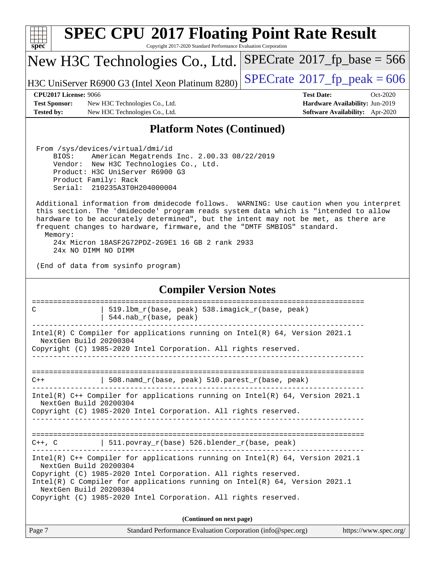| <b>SPEC CPU®2017 Floating Point Rate Result</b>                                                                                                                                                                                                                                                                                                                                                                                                                                                                                                                                                                                               |                                                                                                            |
|-----------------------------------------------------------------------------------------------------------------------------------------------------------------------------------------------------------------------------------------------------------------------------------------------------------------------------------------------------------------------------------------------------------------------------------------------------------------------------------------------------------------------------------------------------------------------------------------------------------------------------------------------|------------------------------------------------------------------------------------------------------------|
| Copyright 2017-2020 Standard Performance Evaluation Corporation<br>spec <sup>®</sup>                                                                                                                                                                                                                                                                                                                                                                                                                                                                                                                                                          |                                                                                                            |
| New H3C Technologies Co., Ltd.                                                                                                                                                                                                                                                                                                                                                                                                                                                                                                                                                                                                                | $SPECrate^{\circ}2017_fp\_base = 566$                                                                      |
| H3C UniServer R6900 G3 (Intel Xeon Platinum 8280)                                                                                                                                                                                                                                                                                                                                                                                                                                                                                                                                                                                             | $SPECTate$ <sup>®</sup> 2017_fp_peak = 606                                                                 |
| <b>CPU2017 License: 9066</b><br><b>Test Sponsor:</b><br>New H3C Technologies Co., Ltd.<br><b>Tested by:</b><br>New H3C Technologies Co., Ltd.                                                                                                                                                                                                                                                                                                                                                                                                                                                                                                 | <b>Test Date:</b><br>Oct-2020<br>Hardware Availability: Jun-2019<br><b>Software Availability:</b> Apr-2020 |
| <b>Platform Notes (Continued)</b>                                                                                                                                                                                                                                                                                                                                                                                                                                                                                                                                                                                                             |                                                                                                            |
| From /sys/devices/virtual/dmi/id<br>BIOS:<br>American Megatrends Inc. 2.00.33 08/22/2019<br>Vendor: New H3C Technologies Co., Ltd.<br>Product: H3C UniServer R6900 G3<br>Product Family: Rack<br>Serial: 210235A3T0H204000004<br>Additional information from dmidecode follows. WARNING: Use caution when you interpret<br>this section. The 'dmidecode' program reads system data which is "intended to allow<br>hardware to be accurately determined", but the intent may not be met, as there are<br>frequent changes to hardware, firmware, and the "DMTF SMBIOS" standard.<br>Memory:<br>24x Micron 18ASF2G72PDZ-2G9E1 16 GB 2 rank 2933 |                                                                                                            |
| 24x NO DIMM NO DIMM<br>(End of data from sysinfo program)                                                                                                                                                                                                                                                                                                                                                                                                                                                                                                                                                                                     |                                                                                                            |
| <b>Compiler Version Notes</b>                                                                                                                                                                                                                                                                                                                                                                                                                                                                                                                                                                                                                 |                                                                                                            |
| 519.1bm_r(base, peak) 538.imagick_r(base, peak)<br>C<br>$544.nab_r(base, peak)$                                                                                                                                                                                                                                                                                                                                                                                                                                                                                                                                                               |                                                                                                            |
| Intel(R) C Compiler for applications running on $Intel(R) 64$ , Version 2021.1<br>NextGen Build 20200304<br>Copyright (C) 1985-2020 Intel Corporation. All rights reserved.                                                                                                                                                                                                                                                                                                                                                                                                                                                                   |                                                                                                            |
| $508.namd_r(base, peak) 510.parest_r(base, peak)$<br>$C++$                                                                                                                                                                                                                                                                                                                                                                                                                                                                                                                                                                                    |                                                                                                            |
| Intel(R) C++ Compiler for applications running on Intel(R) 64, Version 2021.1<br>NextGen Build 20200304<br>Copyright (C) 1985-2020 Intel Corporation. All rights reserved.                                                                                                                                                                                                                                                                                                                                                                                                                                                                    |                                                                                                            |
|                                                                                                                                                                                                                                                                                                                                                                                                                                                                                                                                                                                                                                               |                                                                                                            |
| $C++$ , C $\qquad$ 511.povray_r(base) 526.blender_r(base, peak)                                                                                                                                                                                                                                                                                                                                                                                                                                                                                                                                                                               |                                                                                                            |
| Intel(R) $C++$ Compiler for applications running on Intel(R) 64, Version 2021.1<br>NextGen Build 20200304<br>Copyright (C) 1985-2020 Intel Corporation. All rights reserved.<br>Intel(R) C Compiler for applications running on $Intel(R) 64$ , Version 2021.1<br>NextGen Build 20200304<br>Copyright (C) 1985-2020 Intel Corporation. All rights reserved.                                                                                                                                                                                                                                                                                   |                                                                                                            |
| (Continued on next page)                                                                                                                                                                                                                                                                                                                                                                                                                                                                                                                                                                                                                      |                                                                                                            |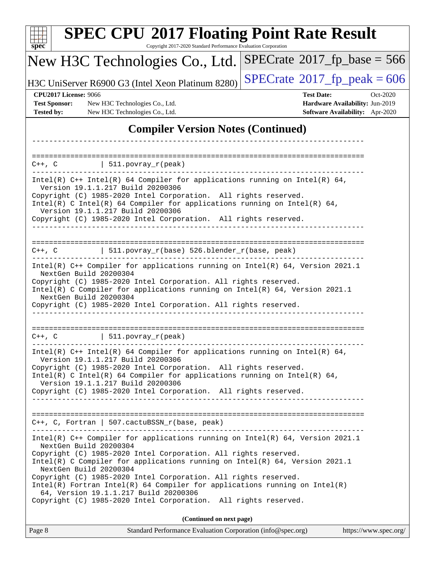| $spec^*$                                             | <b>SPEC CPU®2017 Floating Point Rate Result</b><br>Copyright 2017-2020 Standard Performance Evaluation Corporation                                                                                                                                                                                                                                                                                                                                                                                                                                      |                                                                  |
|------------------------------------------------------|---------------------------------------------------------------------------------------------------------------------------------------------------------------------------------------------------------------------------------------------------------------------------------------------------------------------------------------------------------------------------------------------------------------------------------------------------------------------------------------------------------------------------------------------------------|------------------------------------------------------------------|
|                                                      | New H3C Technologies Co., Ltd.                                                                                                                                                                                                                                                                                                                                                                                                                                                                                                                          | $SPECTate@2017_fp\_base = 566$                                   |
|                                                      | H3C UniServer R6900 G3 (Intel Xeon Platinum 8280)                                                                                                                                                                                                                                                                                                                                                                                                                                                                                                       | $SPECTate$ <sup>®</sup> 2017_fp_peak = 606                       |
| <b>CPU2017 License: 9066</b><br><b>Test Sponsor:</b> | New H3C Technologies Co., Ltd.                                                                                                                                                                                                                                                                                                                                                                                                                                                                                                                          | <b>Test Date:</b><br>Oct-2020<br>Hardware Availability: Jun-2019 |
| <b>Tested by:</b>                                    | New H3C Technologies Co., Ltd.                                                                                                                                                                                                                                                                                                                                                                                                                                                                                                                          | Software Availability: Apr-2020                                  |
|                                                      | <b>Compiler Version Notes (Continued)</b>                                                                                                                                                                                                                                                                                                                                                                                                                                                                                                               |                                                                  |
|                                                      |                                                                                                                                                                                                                                                                                                                                                                                                                                                                                                                                                         |                                                                  |
| C++, C                                               | $ 511.povray_r(peak) $                                                                                                                                                                                                                                                                                                                                                                                                                                                                                                                                  |                                                                  |
|                                                      | Intel(R) $C++$ Intel(R) 64 Compiler for applications running on Intel(R) 64,<br>Version 19.1.1.217 Build 20200306<br>Copyright (C) 1985-2020 Intel Corporation. All rights reserved.<br>Intel(R) C Intel(R) 64 Compiler for applications running on Intel(R) 64,<br>Version 19.1.1.217 Build 20200306<br>Copyright (C) 1985-2020 Intel Corporation. All rights reserved.                                                                                                                                                                                |                                                                  |
| $C++$ , $C$                                          | 511.povray_r(base) 526.blender_r(base, peak)<br>Intel(R) C++ Compiler for applications running on Intel(R) 64, Version 2021.1                                                                                                                                                                                                                                                                                                                                                                                                                           |                                                                  |
|                                                      | NextGen Build 20200304<br>Copyright (C) 1985-2020 Intel Corporation. All rights reserved.<br>Intel(R) C Compiler for applications running on Intel(R) 64, Version 2021.1<br>NextGen Build 20200304<br>Copyright (C) 1985-2020 Intel Corporation. All rights reserved.                                                                                                                                                                                                                                                                                   |                                                                  |
| $C++$ , $C$                                          | $511. povray_r (peak)$                                                                                                                                                                                                                                                                                                                                                                                                                                                                                                                                  |                                                                  |
|                                                      | Intel(R) $C++$ Intel(R) 64 Compiler for applications running on Intel(R) 64,<br>Version 19.1.1.217 Build 20200306<br>Copyright (C) 1985-2020 Intel Corporation. All rights reserved.<br>Intel(R) C Intel(R) 64 Compiler for applications running on Intel(R) 64,<br>Version 19.1.1.217 Build 20200306<br>Copyright (C) 1985-2020 Intel Corporation. All rights reserved.                                                                                                                                                                                |                                                                  |
|                                                      | C++, C, Fortran   507.cactuBSSN_r(base, peak)                                                                                                                                                                                                                                                                                                                                                                                                                                                                                                           |                                                                  |
|                                                      | Intel(R) $C++$ Compiler for applications running on Intel(R) 64, Version 2021.1<br>NextGen Build 20200304<br>Copyright (C) 1985-2020 Intel Corporation. All rights reserved.<br>Intel(R) C Compiler for applications running on Intel(R) $64$ , Version 2021.1<br>NextGen Build 20200304<br>Copyright (C) 1985-2020 Intel Corporation. All rights reserved.<br>$Intel(R)$ Fortran Intel(R) 64 Compiler for applications running on Intel(R)<br>64, Version 19.1.1.217 Build 20200306<br>Copyright (C) 1985-2020 Intel Corporation. All rights reserved. |                                                                  |
|                                                      | (Continued on next page)                                                                                                                                                                                                                                                                                                                                                                                                                                                                                                                                |                                                                  |
| Page 8                                               | Standard Performance Evaluation Corporation (info@spec.org)                                                                                                                                                                                                                                                                                                                                                                                                                                                                                             | https://www.spec.org/                                            |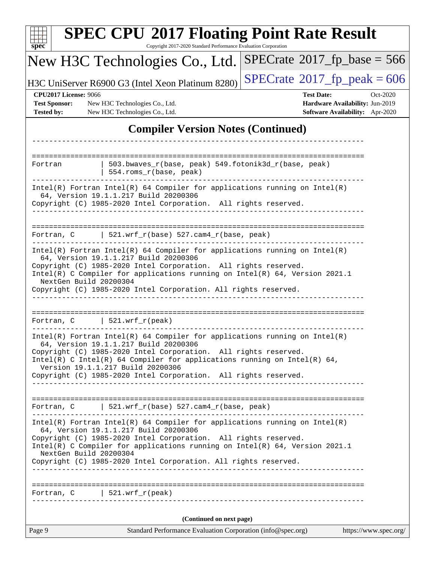| <b>SPEC CPU®2017 Floating Point Rate Result</b><br>Copyright 2017-2020 Standard Performance Evaluation Corporation<br>$spec^*$                                                                                                                                                                                                                                               |                                                                                                     |  |  |  |  |
|------------------------------------------------------------------------------------------------------------------------------------------------------------------------------------------------------------------------------------------------------------------------------------------------------------------------------------------------------------------------------|-----------------------------------------------------------------------------------------------------|--|--|--|--|
| New H3C Technologies Co., Ltd.                                                                                                                                                                                                                                                                                                                                               | $SPECrate^{\circ}2017$ fp base = 566                                                                |  |  |  |  |
| H3C UniServer R6900 G3 (Intel Xeon Platinum 8280)                                                                                                                                                                                                                                                                                                                            | $SPECrate^{\circ}2017$ [p_peak = 606                                                                |  |  |  |  |
| <b>CPU2017 License: 9066</b><br><b>Test Sponsor:</b><br>New H3C Technologies Co., Ltd.<br><b>Tested by:</b><br>New H3C Technologies Co., Ltd.                                                                                                                                                                                                                                | <b>Test Date:</b><br>Oct-2020<br>Hardware Availability: Jun-2019<br>Software Availability: Apr-2020 |  |  |  |  |
| <b>Compiler Version Notes (Continued)</b>                                                                                                                                                                                                                                                                                                                                    |                                                                                                     |  |  |  |  |
| =====================                                                                                                                                                                                                                                                                                                                                                        |                                                                                                     |  |  |  |  |
| 503.bwaves_r(base, peak) 549.fotonik3d_r(base, peak)<br>Fortran<br>554.roms_r(base, peak)                                                                                                                                                                                                                                                                                    |                                                                                                     |  |  |  |  |
| $Intel(R)$ Fortran Intel(R) 64 Compiler for applications running on Intel(R)<br>64, Version 19.1.1.217 Build 20200306<br>Copyright (C) 1985-2020 Intel Corporation. All rights reserved.                                                                                                                                                                                     |                                                                                                     |  |  |  |  |
| $521.wrf_r(base) 527.cam4_r(base, peak)$<br>Fortran, C                                                                                                                                                                                                                                                                                                                       |                                                                                                     |  |  |  |  |
| $Intel(R)$ Fortran Intel(R) 64 Compiler for applications running on Intel(R)<br>64, Version 19.1.1.217 Build 20200306<br>Copyright (C) 1985-2020 Intel Corporation. All rights reserved.<br>Intel(R) C Compiler for applications running on Intel(R) 64, Version 2021.1<br>NextGen Build 20200304<br>Copyright (C) 1985-2020 Intel Corporation. All rights reserved.         |                                                                                                     |  |  |  |  |
| $521.wrf_r(peak)$<br>Fortran, C                                                                                                                                                                                                                                                                                                                                              |                                                                                                     |  |  |  |  |
| $Intel(R)$ Fortran Intel(R) 64 Compiler for applications running on Intel(R)<br>64, Version 19.1.1.217 Build 20200306<br>Copyright (C) 1985-2020 Intel Corporation. All rights reserved.<br>Intel(R) C Intel(R) 64 Compiler for applications running on Intel(R) 64,<br>Version 19.1.1.217 Build 20200306<br>Copyright (C) 1985-2020 Intel Corporation. All rights reserved. |                                                                                                     |  |  |  |  |
| Fortran, $C$   521.wrf_r(base) 527.cam4_r(base, peak)                                                                                                                                                                                                                                                                                                                        |                                                                                                     |  |  |  |  |
| $Intel(R)$ Fortran Intel(R) 64 Compiler for applications running on Intel(R)<br>64, Version 19.1.1.217 Build 20200306<br>Copyright (C) 1985-2020 Intel Corporation. All rights reserved.<br>Intel(R) C Compiler for applications running on $Intel(R) 64$ , Version 2021.1<br>NextGen Build 20200304                                                                         |                                                                                                     |  |  |  |  |
| Copyright (C) 1985-2020 Intel Corporation. All rights reserved.                                                                                                                                                                                                                                                                                                              |                                                                                                     |  |  |  |  |
| Fortran, $C$   521.wrf_r(peak)                                                                                                                                                                                                                                                                                                                                               |                                                                                                     |  |  |  |  |
| (Continued on next page)                                                                                                                                                                                                                                                                                                                                                     |                                                                                                     |  |  |  |  |
| Page 9<br>Standard Performance Evaluation Corporation (info@spec.org)                                                                                                                                                                                                                                                                                                        | https://www.spec.org/                                                                               |  |  |  |  |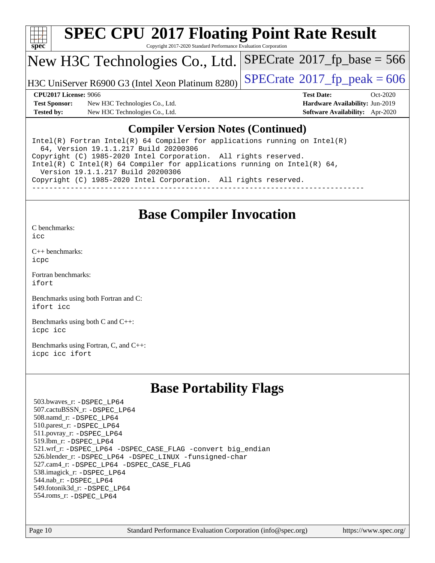

# **[SPEC CPU](http://www.spec.org/auto/cpu2017/Docs/result-fields.html#SPECCPU2017FloatingPointRateResult)[2017 Floating Point Rate Result](http://www.spec.org/auto/cpu2017/Docs/result-fields.html#SPECCPU2017FloatingPointRateResult)**

Copyright 2017-2020 Standard Performance Evaluation Corporation

## New H3C Technologies Co., Ltd.

H3C UniServer R6900 G3 (Intel Xeon Platinum 8280) [SPECrate](http://www.spec.org/auto/cpu2017/Docs/result-fields.html#SPECrate2017fppeak)®  $2017$  fp\_peak = 606

 $SPECTate$ <sup>®</sup>[2017\\_fp\\_base =](http://www.spec.org/auto/cpu2017/Docs/result-fields.html#SPECrate2017fpbase) 566

**[Test Sponsor:](http://www.spec.org/auto/cpu2017/Docs/result-fields.html#TestSponsor)** New H3C Technologies Co., Ltd. **[Hardware Availability:](http://www.spec.org/auto/cpu2017/Docs/result-fields.html#HardwareAvailability)** Jun-2019 **[Tested by:](http://www.spec.org/auto/cpu2017/Docs/result-fields.html#Testedby)** New H3C Technologies Co., Ltd. **[Software Availability:](http://www.spec.org/auto/cpu2017/Docs/result-fields.html#SoftwareAvailability)** Apr-2020

**[CPU2017 License:](http://www.spec.org/auto/cpu2017/Docs/result-fields.html#CPU2017License)** 9066 **[Test Date:](http://www.spec.org/auto/cpu2017/Docs/result-fields.html#TestDate)** Oct-2020

## **[Compiler Version Notes \(Continued\)](http://www.spec.org/auto/cpu2017/Docs/result-fields.html#CompilerVersionNotes)**

Intel(R) Fortran Intel(R)  $64$  Compiler for applications running on Intel(R) 64, Version 19.1.1.217 Build 20200306 Copyright (C) 1985-2020 Intel Corporation. All rights reserved. Intel(R) C Intel(R) 64 Compiler for applications running on Intel(R) 64, Version 19.1.1.217 Build 20200306 Copyright (C) 1985-2020 Intel Corporation. All rights reserved. ------------------------------------------------------------------------------

## **[Base Compiler Invocation](http://www.spec.org/auto/cpu2017/Docs/result-fields.html#BaseCompilerInvocation)**

[C benchmarks](http://www.spec.org/auto/cpu2017/Docs/result-fields.html#Cbenchmarks):

[icc](http://www.spec.org/cpu2017/results/res2020q4/cpu2017-20201105-24341.flags.html#user_CCbase_intel_icc_66fc1ee009f7361af1fbd72ca7dcefbb700085f36577c54f309893dd4ec40d12360134090235512931783d35fd58c0460139e722d5067c5574d8eaf2b3e37e92)

[C++ benchmarks:](http://www.spec.org/auto/cpu2017/Docs/result-fields.html#CXXbenchmarks) [icpc](http://www.spec.org/cpu2017/results/res2020q4/cpu2017-20201105-24341.flags.html#user_CXXbase_intel_icpc_c510b6838c7f56d33e37e94d029a35b4a7bccf4766a728ee175e80a419847e808290a9b78be685c44ab727ea267ec2f070ec5dc83b407c0218cded6866a35d07)

[Fortran benchmarks](http://www.spec.org/auto/cpu2017/Docs/result-fields.html#Fortranbenchmarks): [ifort](http://www.spec.org/cpu2017/results/res2020q4/cpu2017-20201105-24341.flags.html#user_FCbase_intel_ifort_8111460550e3ca792625aed983ce982f94888b8b503583aa7ba2b8303487b4d8a21a13e7191a45c5fd58ff318f48f9492884d4413fa793fd88dd292cad7027ca)

[Benchmarks using both Fortran and C](http://www.spec.org/auto/cpu2017/Docs/result-fields.html#BenchmarksusingbothFortranandC): [ifort](http://www.spec.org/cpu2017/results/res2020q4/cpu2017-20201105-24341.flags.html#user_CC_FCbase_intel_ifort_8111460550e3ca792625aed983ce982f94888b8b503583aa7ba2b8303487b4d8a21a13e7191a45c5fd58ff318f48f9492884d4413fa793fd88dd292cad7027ca) [icc](http://www.spec.org/cpu2017/results/res2020q4/cpu2017-20201105-24341.flags.html#user_CC_FCbase_intel_icc_66fc1ee009f7361af1fbd72ca7dcefbb700085f36577c54f309893dd4ec40d12360134090235512931783d35fd58c0460139e722d5067c5574d8eaf2b3e37e92)

[Benchmarks using both C and C++](http://www.spec.org/auto/cpu2017/Docs/result-fields.html#BenchmarksusingbothCandCXX): [icpc](http://www.spec.org/cpu2017/results/res2020q4/cpu2017-20201105-24341.flags.html#user_CC_CXXbase_intel_icpc_c510b6838c7f56d33e37e94d029a35b4a7bccf4766a728ee175e80a419847e808290a9b78be685c44ab727ea267ec2f070ec5dc83b407c0218cded6866a35d07) [icc](http://www.spec.org/cpu2017/results/res2020q4/cpu2017-20201105-24341.flags.html#user_CC_CXXbase_intel_icc_66fc1ee009f7361af1fbd72ca7dcefbb700085f36577c54f309893dd4ec40d12360134090235512931783d35fd58c0460139e722d5067c5574d8eaf2b3e37e92)

[Benchmarks using Fortran, C, and C++:](http://www.spec.org/auto/cpu2017/Docs/result-fields.html#BenchmarksusingFortranCandCXX) [icpc](http://www.spec.org/cpu2017/results/res2020q4/cpu2017-20201105-24341.flags.html#user_CC_CXX_FCbase_intel_icpc_c510b6838c7f56d33e37e94d029a35b4a7bccf4766a728ee175e80a419847e808290a9b78be685c44ab727ea267ec2f070ec5dc83b407c0218cded6866a35d07) [icc](http://www.spec.org/cpu2017/results/res2020q4/cpu2017-20201105-24341.flags.html#user_CC_CXX_FCbase_intel_icc_66fc1ee009f7361af1fbd72ca7dcefbb700085f36577c54f309893dd4ec40d12360134090235512931783d35fd58c0460139e722d5067c5574d8eaf2b3e37e92) [ifort](http://www.spec.org/cpu2017/results/res2020q4/cpu2017-20201105-24341.flags.html#user_CC_CXX_FCbase_intel_ifort_8111460550e3ca792625aed983ce982f94888b8b503583aa7ba2b8303487b4d8a21a13e7191a45c5fd58ff318f48f9492884d4413fa793fd88dd292cad7027ca)

# **[Base Portability Flags](http://www.spec.org/auto/cpu2017/Docs/result-fields.html#BasePortabilityFlags)**

 503.bwaves\_r: [-DSPEC\\_LP64](http://www.spec.org/cpu2017/results/res2020q4/cpu2017-20201105-24341.flags.html#suite_basePORTABILITY503_bwaves_r_DSPEC_LP64) 507.cactuBSSN\_r: [-DSPEC\\_LP64](http://www.spec.org/cpu2017/results/res2020q4/cpu2017-20201105-24341.flags.html#suite_basePORTABILITY507_cactuBSSN_r_DSPEC_LP64) 508.namd\_r: [-DSPEC\\_LP64](http://www.spec.org/cpu2017/results/res2020q4/cpu2017-20201105-24341.flags.html#suite_basePORTABILITY508_namd_r_DSPEC_LP64) 510.parest\_r: [-DSPEC\\_LP64](http://www.spec.org/cpu2017/results/res2020q4/cpu2017-20201105-24341.flags.html#suite_basePORTABILITY510_parest_r_DSPEC_LP64) 511.povray\_r: [-DSPEC\\_LP64](http://www.spec.org/cpu2017/results/res2020q4/cpu2017-20201105-24341.flags.html#suite_basePORTABILITY511_povray_r_DSPEC_LP64) 519.lbm\_r: [-DSPEC\\_LP64](http://www.spec.org/cpu2017/results/res2020q4/cpu2017-20201105-24341.flags.html#suite_basePORTABILITY519_lbm_r_DSPEC_LP64) 521.wrf\_r: [-DSPEC\\_LP64](http://www.spec.org/cpu2017/results/res2020q4/cpu2017-20201105-24341.flags.html#suite_basePORTABILITY521_wrf_r_DSPEC_LP64) [-DSPEC\\_CASE\\_FLAG](http://www.spec.org/cpu2017/results/res2020q4/cpu2017-20201105-24341.flags.html#b521.wrf_r_baseCPORTABILITY_DSPEC_CASE_FLAG) [-convert big\\_endian](http://www.spec.org/cpu2017/results/res2020q4/cpu2017-20201105-24341.flags.html#user_baseFPORTABILITY521_wrf_r_convert_big_endian_c3194028bc08c63ac5d04de18c48ce6d347e4e562e8892b8bdbdc0214820426deb8554edfa529a3fb25a586e65a3d812c835984020483e7e73212c4d31a38223) 526.blender\_r: [-DSPEC\\_LP64](http://www.spec.org/cpu2017/results/res2020q4/cpu2017-20201105-24341.flags.html#suite_basePORTABILITY526_blender_r_DSPEC_LP64) [-DSPEC\\_LINUX](http://www.spec.org/cpu2017/results/res2020q4/cpu2017-20201105-24341.flags.html#b526.blender_r_baseCPORTABILITY_DSPEC_LINUX) [-funsigned-char](http://www.spec.org/cpu2017/results/res2020q4/cpu2017-20201105-24341.flags.html#user_baseCPORTABILITY526_blender_r_force_uchar_40c60f00ab013830e2dd6774aeded3ff59883ba5a1fc5fc14077f794d777847726e2a5858cbc7672e36e1b067e7e5c1d9a74f7176df07886a243d7cc18edfe67) 527.cam4\_r: [-DSPEC\\_LP64](http://www.spec.org/cpu2017/results/res2020q4/cpu2017-20201105-24341.flags.html#suite_basePORTABILITY527_cam4_r_DSPEC_LP64) [-DSPEC\\_CASE\\_FLAG](http://www.spec.org/cpu2017/results/res2020q4/cpu2017-20201105-24341.flags.html#b527.cam4_r_baseCPORTABILITY_DSPEC_CASE_FLAG) 538.imagick\_r: [-DSPEC\\_LP64](http://www.spec.org/cpu2017/results/res2020q4/cpu2017-20201105-24341.flags.html#suite_basePORTABILITY538_imagick_r_DSPEC_LP64) 544.nab\_r: [-DSPEC\\_LP64](http://www.spec.org/cpu2017/results/res2020q4/cpu2017-20201105-24341.flags.html#suite_basePORTABILITY544_nab_r_DSPEC_LP64) 549.fotonik3d\_r: [-DSPEC\\_LP64](http://www.spec.org/cpu2017/results/res2020q4/cpu2017-20201105-24341.flags.html#suite_basePORTABILITY549_fotonik3d_r_DSPEC_LP64) 554.roms\_r: [-DSPEC\\_LP64](http://www.spec.org/cpu2017/results/res2020q4/cpu2017-20201105-24341.flags.html#suite_basePORTABILITY554_roms_r_DSPEC_LP64)

Page 10 Standard Performance Evaluation Corporation [\(info@spec.org\)](mailto:info@spec.org) <https://www.spec.org/>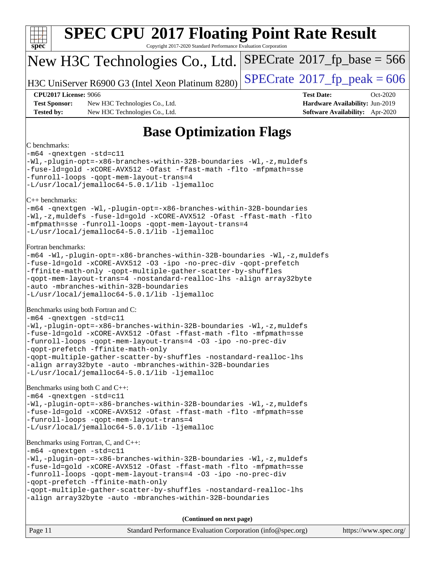

[-qopt-multiple-gather-scatter-by-shuffles](http://www.spec.org/cpu2017/results/res2020q4/cpu2017-20201105-24341.flags.html#user_CC_CXX_FCbase_f-qopt-multiple-gather-scatter-by-shuffles) [-nostandard-realloc-lhs](http://www.spec.org/cpu2017/results/res2020q4/cpu2017-20201105-24341.flags.html#user_CC_CXX_FCbase_f_2003_std_realloc_82b4557e90729c0f113870c07e44d33d6f5a304b4f63d4c15d2d0f1fab99f5daaed73bdb9275d9ae411527f28b936061aa8b9c8f2d63842963b95c9dd6426b8a) [-align array32byte](http://www.spec.org/cpu2017/results/res2020q4/cpu2017-20201105-24341.flags.html#user_CC_CXX_FCbase_align_array32byte_b982fe038af199962ba9a80c053b8342c548c85b40b8e86eb3cc33dee0d7986a4af373ac2d51c3f7cf710a18d62fdce2948f201cd044323541f22fc0fffc51b6) [-auto](http://www.spec.org/cpu2017/results/res2020q4/cpu2017-20201105-24341.flags.html#user_CC_CXX_FCbase_f-auto) [-mbranches-within-32B-boundaries](http://www.spec.org/cpu2017/results/res2020q4/cpu2017-20201105-24341.flags.html#user_CC_CXX_FCbase_f-mbranches-within-32B-boundaries)

**(Continued on next page)**

| Page 11 | Standard Performance Evaluation Corporation (info@spec.org) | https://www.spec.org/ |
|---------|-------------------------------------------------------------|-----------------------|
|---------|-------------------------------------------------------------|-----------------------|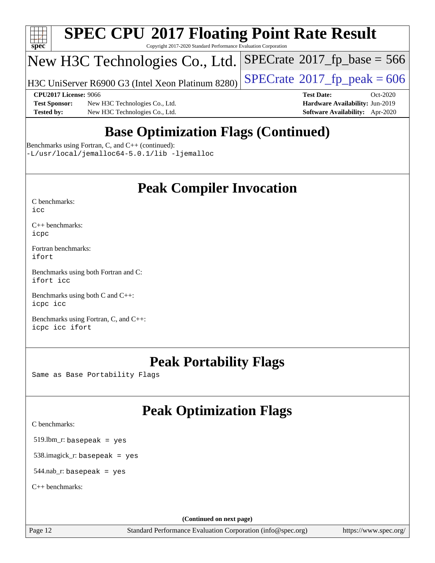

# **[SPEC CPU](http://www.spec.org/auto/cpu2017/Docs/result-fields.html#SPECCPU2017FloatingPointRateResult)[2017 Floating Point Rate Result](http://www.spec.org/auto/cpu2017/Docs/result-fields.html#SPECCPU2017FloatingPointRateResult)**

Copyright 2017-2020 Standard Performance Evaluation Corporation

# New H3C Technologies Co., Ltd.

H3C UniServer R6900 G3 (Intel Xeon Platinum 8280)  $\big|\operatorname{SPECrate}@2017\_fp\_peak = 606$  $\big|\operatorname{SPECrate}@2017\_fp\_peak = 606$  $\big|\operatorname{SPECrate}@2017\_fp\_peak = 606$ 

 $SPECTate$ <sup>®</sup>[2017\\_fp\\_base =](http://www.spec.org/auto/cpu2017/Docs/result-fields.html#SPECrate2017fpbase) 566

**[Test Sponsor:](http://www.spec.org/auto/cpu2017/Docs/result-fields.html#TestSponsor)** New H3C Technologies Co., Ltd. **[Hardware Availability:](http://www.spec.org/auto/cpu2017/Docs/result-fields.html#HardwareAvailability)** Jun-2019 **[Tested by:](http://www.spec.org/auto/cpu2017/Docs/result-fields.html#Testedby)** New H3C Technologies Co., Ltd. **[Software Availability:](http://www.spec.org/auto/cpu2017/Docs/result-fields.html#SoftwareAvailability)** Apr-2020

**[CPU2017 License:](http://www.spec.org/auto/cpu2017/Docs/result-fields.html#CPU2017License)** 9066 **[Test Date:](http://www.spec.org/auto/cpu2017/Docs/result-fields.html#TestDate)** Oct-2020

# **[Base Optimization Flags \(Continued\)](http://www.spec.org/auto/cpu2017/Docs/result-fields.html#BaseOptimizationFlags)**

[Benchmarks using Fortran, C, and C++](http://www.spec.org/auto/cpu2017/Docs/result-fields.html#BenchmarksusingFortranCandCXX) (continued):

[-L/usr/local/jemalloc64-5.0.1/lib](http://www.spec.org/cpu2017/results/res2020q4/cpu2017-20201105-24341.flags.html#user_CC_CXX_FCbase_jemalloc_link_path64_1_cc289568b1a6c0fd3b62c91b824c27fcb5af5e8098e6ad028160d21144ef1b8aef3170d2acf0bee98a8da324cfe4f67d0a3d0c4cc4673d993d694dc2a0df248b) [-ljemalloc](http://www.spec.org/cpu2017/results/res2020q4/cpu2017-20201105-24341.flags.html#user_CC_CXX_FCbase_jemalloc_link_lib_d1249b907c500fa1c0672f44f562e3d0f79738ae9e3c4a9c376d49f265a04b9c99b167ecedbf6711b3085be911c67ff61f150a17b3472be731631ba4d0471706)

# **[Peak Compiler Invocation](http://www.spec.org/auto/cpu2017/Docs/result-fields.html#PeakCompilerInvocation)**

| C benchmarks: |  |
|---------------|--|
| icc           |  |

[C++ benchmarks:](http://www.spec.org/auto/cpu2017/Docs/result-fields.html#CXXbenchmarks) [icpc](http://www.spec.org/cpu2017/results/res2020q4/cpu2017-20201105-24341.flags.html#user_CXXpeak_intel_icpc_c510b6838c7f56d33e37e94d029a35b4a7bccf4766a728ee175e80a419847e808290a9b78be685c44ab727ea267ec2f070ec5dc83b407c0218cded6866a35d07)

[Fortran benchmarks](http://www.spec.org/auto/cpu2017/Docs/result-fields.html#Fortranbenchmarks): [ifort](http://www.spec.org/cpu2017/results/res2020q4/cpu2017-20201105-24341.flags.html#user_FCpeak_intel_ifort_8111460550e3ca792625aed983ce982f94888b8b503583aa7ba2b8303487b4d8a21a13e7191a45c5fd58ff318f48f9492884d4413fa793fd88dd292cad7027ca)

[Benchmarks using both Fortran and C](http://www.spec.org/auto/cpu2017/Docs/result-fields.html#BenchmarksusingbothFortranandC): [ifort](http://www.spec.org/cpu2017/results/res2020q4/cpu2017-20201105-24341.flags.html#user_CC_FCpeak_intel_ifort_8111460550e3ca792625aed983ce982f94888b8b503583aa7ba2b8303487b4d8a21a13e7191a45c5fd58ff318f48f9492884d4413fa793fd88dd292cad7027ca) [icc](http://www.spec.org/cpu2017/results/res2020q4/cpu2017-20201105-24341.flags.html#user_CC_FCpeak_intel_icc_66fc1ee009f7361af1fbd72ca7dcefbb700085f36577c54f309893dd4ec40d12360134090235512931783d35fd58c0460139e722d5067c5574d8eaf2b3e37e92)

[Benchmarks using both C and C++](http://www.spec.org/auto/cpu2017/Docs/result-fields.html#BenchmarksusingbothCandCXX): [icpc](http://www.spec.org/cpu2017/results/res2020q4/cpu2017-20201105-24341.flags.html#user_CC_CXXpeak_intel_icpc_c510b6838c7f56d33e37e94d029a35b4a7bccf4766a728ee175e80a419847e808290a9b78be685c44ab727ea267ec2f070ec5dc83b407c0218cded6866a35d07) [icc](http://www.spec.org/cpu2017/results/res2020q4/cpu2017-20201105-24341.flags.html#user_CC_CXXpeak_intel_icc_66fc1ee009f7361af1fbd72ca7dcefbb700085f36577c54f309893dd4ec40d12360134090235512931783d35fd58c0460139e722d5067c5574d8eaf2b3e37e92)

[Benchmarks using Fortran, C, and C++:](http://www.spec.org/auto/cpu2017/Docs/result-fields.html#BenchmarksusingFortranCandCXX) [icpc](http://www.spec.org/cpu2017/results/res2020q4/cpu2017-20201105-24341.flags.html#user_CC_CXX_FCpeak_intel_icpc_c510b6838c7f56d33e37e94d029a35b4a7bccf4766a728ee175e80a419847e808290a9b78be685c44ab727ea267ec2f070ec5dc83b407c0218cded6866a35d07) [icc](http://www.spec.org/cpu2017/results/res2020q4/cpu2017-20201105-24341.flags.html#user_CC_CXX_FCpeak_intel_icc_66fc1ee009f7361af1fbd72ca7dcefbb700085f36577c54f309893dd4ec40d12360134090235512931783d35fd58c0460139e722d5067c5574d8eaf2b3e37e92) [ifort](http://www.spec.org/cpu2017/results/res2020q4/cpu2017-20201105-24341.flags.html#user_CC_CXX_FCpeak_intel_ifort_8111460550e3ca792625aed983ce982f94888b8b503583aa7ba2b8303487b4d8a21a13e7191a45c5fd58ff318f48f9492884d4413fa793fd88dd292cad7027ca)

# **[Peak Portability Flags](http://www.spec.org/auto/cpu2017/Docs/result-fields.html#PeakPortabilityFlags)**

Same as Base Portability Flags

# **[Peak Optimization Flags](http://www.spec.org/auto/cpu2017/Docs/result-fields.html#PeakOptimizationFlags)**

[C benchmarks](http://www.spec.org/auto/cpu2017/Docs/result-fields.html#Cbenchmarks):

519.lbm\_r: basepeak = yes

538.imagick\_r: basepeak = yes

544.nab\_r: basepeak = yes

[C++ benchmarks:](http://www.spec.org/auto/cpu2017/Docs/result-fields.html#CXXbenchmarks)

**(Continued on next page)**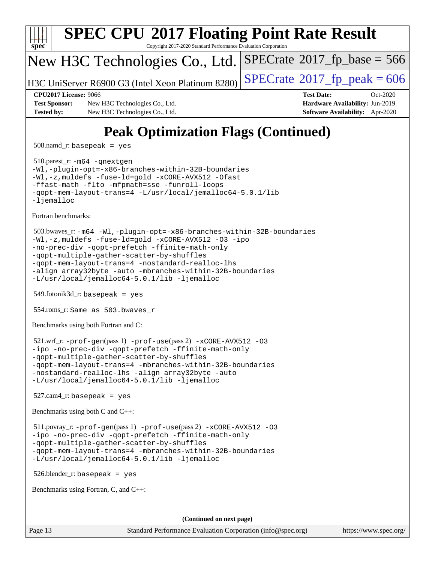

508.namd\_r: basepeak = yes

 510.parest\_r: [-m64](http://www.spec.org/cpu2017/results/res2020q4/cpu2017-20201105-24341.flags.html#user_peakCXXLD510_parest_r_m64-icc) [-qnextgen](http://www.spec.org/cpu2017/results/res2020q4/cpu2017-20201105-24341.flags.html#user_peakCXXLD510_parest_r_f-qnextgen) [-Wl,-plugin-opt=-x86-branches-within-32B-boundaries](http://www.spec.org/cpu2017/results/res2020q4/cpu2017-20201105-24341.flags.html#user_peakLDFLAGS510_parest_r_f-x86-branches-within-32B-boundaries_0098b4e4317ae60947b7b728078a624952a08ac37a3c797dfb4ffeb399e0c61a9dd0f2f44ce917e9361fb9076ccb15e7824594512dd315205382d84209e912f3) [-Wl,-z,muldefs](http://www.spec.org/cpu2017/results/res2020q4/cpu2017-20201105-24341.flags.html#user_peakEXTRA_LDFLAGS510_parest_r_link_force_multiple1_b4cbdb97b34bdee9ceefcfe54f4c8ea74255f0b02a4b23e853cdb0e18eb4525ac79b5a88067c842dd0ee6996c24547a27a4b99331201badda8798ef8a743f577) [-fuse-ld=gold](http://www.spec.org/cpu2017/results/res2020q4/cpu2017-20201105-24341.flags.html#user_peakEXTRA_LDFLAGS510_parest_r_f-fuse-ld_920b3586e2b8c6e0748b9c84fa9b744736ba725a32cab14ad8f3d4ad28eecb2f59d1144823d2e17006539a88734fe1fc08fc3035f7676166309105a78aaabc32) [-xCORE-AVX512](http://www.spec.org/cpu2017/results/res2020q4/cpu2017-20201105-24341.flags.html#user_peakCXXOPTIMIZE510_parest_r_f-xCORE-AVX512) [-Ofast](http://www.spec.org/cpu2017/results/res2020q4/cpu2017-20201105-24341.flags.html#user_peakCXXOPTIMIZE510_parest_r_f-Ofast) [-ffast-math](http://www.spec.org/cpu2017/results/res2020q4/cpu2017-20201105-24341.flags.html#user_peakCXXOPTIMIZE510_parest_r_f-ffast-math) [-flto](http://www.spec.org/cpu2017/results/res2020q4/cpu2017-20201105-24341.flags.html#user_peakCXXOPTIMIZE510_parest_r_f-flto) [-mfpmath=sse](http://www.spec.org/cpu2017/results/res2020q4/cpu2017-20201105-24341.flags.html#user_peakCXXOPTIMIZE510_parest_r_f-mfpmath_70eb8fac26bde974f8ab713bc9086c5621c0b8d2f6c86f38af0bd7062540daf19db5f3a066d8c6684be05d84c9b6322eb3b5be6619d967835195b93d6c02afa1) [-funroll-loops](http://www.spec.org/cpu2017/results/res2020q4/cpu2017-20201105-24341.flags.html#user_peakCXXOPTIMIZE510_parest_r_f-funroll-loops) [-qopt-mem-layout-trans=4](http://www.spec.org/cpu2017/results/res2020q4/cpu2017-20201105-24341.flags.html#user_peakCXXOPTIMIZE510_parest_r_f-qopt-mem-layout-trans_fa39e755916c150a61361b7846f310bcdf6f04e385ef281cadf3647acec3f0ae266d1a1d22d972a7087a248fd4e6ca390a3634700869573d231a252c784941a8) [-L/usr/local/jemalloc64-5.0.1/lib](http://www.spec.org/cpu2017/results/res2020q4/cpu2017-20201105-24341.flags.html#user_peakEXTRA_LIBS510_parest_r_jemalloc_link_path64_1_cc289568b1a6c0fd3b62c91b824c27fcb5af5e8098e6ad028160d21144ef1b8aef3170d2acf0bee98a8da324cfe4f67d0a3d0c4cc4673d993d694dc2a0df248b) [-ljemalloc](http://www.spec.org/cpu2017/results/res2020q4/cpu2017-20201105-24341.flags.html#user_peakEXTRA_LIBS510_parest_r_jemalloc_link_lib_d1249b907c500fa1c0672f44f562e3d0f79738ae9e3c4a9c376d49f265a04b9c99b167ecedbf6711b3085be911c67ff61f150a17b3472be731631ba4d0471706)

[Fortran benchmarks](http://www.spec.org/auto/cpu2017/Docs/result-fields.html#Fortranbenchmarks):

```
 503.bwaves_r: -m64 -Wl,-plugin-opt=-x86-branches-within-32B-boundaries
-Wl,-z,muldefs -fuse-ld=gold -xCORE-AVX512 -O3 -ipo
-no-prec-div -qopt-prefetch -ffinite-math-only
-qopt-multiple-gather-scatter-by-shuffles
-qopt-mem-layout-trans=4 -nostandard-realloc-lhs
-align array32byte -auto -mbranches-within-32B-boundaries
-L/usr/local/jemalloc64-5.0.1/lib -ljemalloc
```
549.fotonik3d\_r: basepeak = yes

554.roms\_r: Same as 503.bwaves\_r

[Benchmarks using both Fortran and C](http://www.spec.org/auto/cpu2017/Docs/result-fields.html#BenchmarksusingbothFortranandC):

```
 521.wrf_r: -prof-gen(pass 1) -prof-use(pass 2) -xCORE-AVX512 -O3
-ipo -no-prec-div -qopt-prefetch -ffinite-math-only
-qopt-multiple-gather-scatter-by-shuffles
-qopt-mem-layout-trans=4 -mbranches-within-32B-boundaries
-nostandard-realloc-lhs -align array32byte -auto
-L/usr/local/jemalloc64-5.0.1/lib -ljemalloc
```
 $527$ .cam $4$ \_r: basepeak = yes

[Benchmarks using both C and C++](http://www.spec.org/auto/cpu2017/Docs/result-fields.html#BenchmarksusingbothCandCXX):

 511.povray\_r: [-prof-gen](http://www.spec.org/cpu2017/results/res2020q4/cpu2017-20201105-24341.flags.html#user_peakPASS1_CFLAGSPASS1_CXXFLAGSPASS1_LDFLAGS511_povray_r_prof_gen_5aa4926d6013ddb2a31985c654b3eb18169fc0c6952a63635c234f711e6e63dd76e94ad52365559451ec499a2cdb89e4dc58ba4c67ef54ca681ffbe1461d6b36)(pass 1) [-prof-use](http://www.spec.org/cpu2017/results/res2020q4/cpu2017-20201105-24341.flags.html#user_peakPASS2_CFLAGSPASS2_CXXFLAGSPASS2_LDFLAGS511_povray_r_prof_use_1a21ceae95f36a2b53c25747139a6c16ca95bd9def2a207b4f0849963b97e94f5260e30a0c64f4bb623698870e679ca08317ef8150905d41bd88c6f78df73f19)(pass 2) [-xCORE-AVX512](http://www.spec.org/cpu2017/results/res2020q4/cpu2017-20201105-24341.flags.html#user_peakCOPTIMIZECXXOPTIMIZEPASS2_COPTIMIZEPASS2_CXXOPTIMIZE511_povray_r_f-xCORE-AVX512) [-O3](http://www.spec.org/cpu2017/results/res2020q4/cpu2017-20201105-24341.flags.html#user_peakCOPTIMIZECXXOPTIMIZEPASS1_COPTIMIZEPASS1_CXXOPTIMIZEPASS2_COPTIMIZEPASS2_CXXOPTIMIZE511_povray_r_f-O3) [-ipo](http://www.spec.org/cpu2017/results/res2020q4/cpu2017-20201105-24341.flags.html#user_peakCOPTIMIZECXXOPTIMIZEPASS1_COPTIMIZEPASS1_CXXOPTIMIZEPASS2_COPTIMIZEPASS2_CXXOPTIMIZE511_povray_r_f-ipo) [-no-prec-div](http://www.spec.org/cpu2017/results/res2020q4/cpu2017-20201105-24341.flags.html#user_peakCOPTIMIZECXXOPTIMIZEPASS1_COPTIMIZEPASS1_CXXOPTIMIZEPASS2_COPTIMIZEPASS2_CXXOPTIMIZE511_povray_r_f-no-prec-div) [-qopt-prefetch](http://www.spec.org/cpu2017/results/res2020q4/cpu2017-20201105-24341.flags.html#user_peakCOPTIMIZECXXOPTIMIZEPASS1_COPTIMIZEPASS1_CXXOPTIMIZEPASS2_COPTIMIZEPASS2_CXXOPTIMIZE511_povray_r_f-qopt-prefetch) [-ffinite-math-only](http://www.spec.org/cpu2017/results/res2020q4/cpu2017-20201105-24341.flags.html#user_peakCOPTIMIZECXXOPTIMIZEPASS1_COPTIMIZEPASS1_CXXOPTIMIZEPASS2_COPTIMIZEPASS2_CXXOPTIMIZE511_povray_r_f_finite_math_only_cb91587bd2077682c4b38af759c288ed7c732db004271a9512da14a4f8007909a5f1427ecbf1a0fb78ff2a814402c6114ac565ca162485bbcae155b5e4258871) [-qopt-multiple-gather-scatter-by-shuffles](http://www.spec.org/cpu2017/results/res2020q4/cpu2017-20201105-24341.flags.html#user_peakCOPTIMIZECXXOPTIMIZEPASS1_COPTIMIZEPASS1_CXXOPTIMIZEPASS2_COPTIMIZEPASS2_CXXOPTIMIZE511_povray_r_f-qopt-multiple-gather-scatter-by-shuffles) [-qopt-mem-layout-trans=4](http://www.spec.org/cpu2017/results/res2020q4/cpu2017-20201105-24341.flags.html#user_peakCOPTIMIZECXXOPTIMIZEPASS1_COPTIMIZEPASS1_CXXOPTIMIZEPASS2_COPTIMIZEPASS2_CXXOPTIMIZE511_povray_r_f-qopt-mem-layout-trans_fa39e755916c150a61361b7846f310bcdf6f04e385ef281cadf3647acec3f0ae266d1a1d22d972a7087a248fd4e6ca390a3634700869573d231a252c784941a8) [-mbranches-within-32B-boundaries](http://www.spec.org/cpu2017/results/res2020q4/cpu2017-20201105-24341.flags.html#user_peakEXTRA_COPTIMIZEEXTRA_CXXOPTIMIZE511_povray_r_f-mbranches-within-32B-boundaries) [-L/usr/local/jemalloc64-5.0.1/lib](http://www.spec.org/cpu2017/results/res2020q4/cpu2017-20201105-24341.flags.html#user_peakEXTRA_LIBS511_povray_r_jemalloc_link_path64_1_cc289568b1a6c0fd3b62c91b824c27fcb5af5e8098e6ad028160d21144ef1b8aef3170d2acf0bee98a8da324cfe4f67d0a3d0c4cc4673d993d694dc2a0df248b) [-ljemalloc](http://www.spec.org/cpu2017/results/res2020q4/cpu2017-20201105-24341.flags.html#user_peakEXTRA_LIBS511_povray_r_jemalloc_link_lib_d1249b907c500fa1c0672f44f562e3d0f79738ae9e3c4a9c376d49f265a04b9c99b167ecedbf6711b3085be911c67ff61f150a17b3472be731631ba4d0471706)

526.blender\_r: basepeak = yes

[Benchmarks using Fortran, C, and C++:](http://www.spec.org/auto/cpu2017/Docs/result-fields.html#BenchmarksusingFortranCandCXX)

**(Continued on next page)**